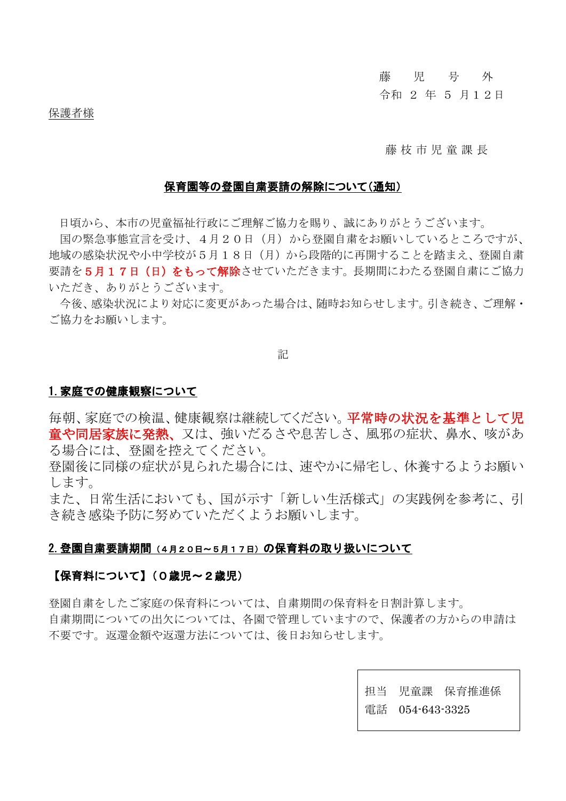### 藤 児 号 外

### 令和 2 年 5 月12日

保護者様

### 藤 枝 市 児 童 課 長

#### 保育園等の登園自粛要請の解除について(通知)

日頃から、本市の児童福祉行政にご理解ご協力を賜り、誠にありがとうございます。

国の緊急事態宣言を受け、4月20日(月)から登園自粛をお願いしているところですが、 地域の感染状況や小中学校が5月18日(月)から段階的に再開することを踏まえ、登園自粛 要請を5月17日(日)をもって解除させていただきます。長期間にわたる登園自粛にご協力 いただき、ありがとうございます。

今後、感染状況により対応に変更があった場合は、随時お知らせします。引き続き、ご理解・ ご協力をお願いします。

記

### 1.家庭での健康観察について

毎朝、家庭での検温、健康観察は継続してください。平常時の状況を基準として児 音や同居家族に発熱、又は、強いだるさや息苦しさ、風邪の症状、鼻水、咳があ る場合には、登園を控えてください。

登園後に同様の症状が見られた場合には、速やかに帰宅し、休養するようお願い します。

また、日常生活においても、国が示す「新しい生活様式」の実践例を参考に、引 き続き感染予防に努めていただくようお願いします。

### 2.登園自粛要請期間(4月20日~5月17日)の保育料の取り扱いについて

# 【保育料について】(0歳児~2歳児)

登園自粛をしたご家庭の保育料については、自粛期間の保育料を日割計算します。 自粛期間についての出欠については、各園で管理していますので、保護者の方からの申請は 不要です。返還金額や返還方法については、後日お知らせします。